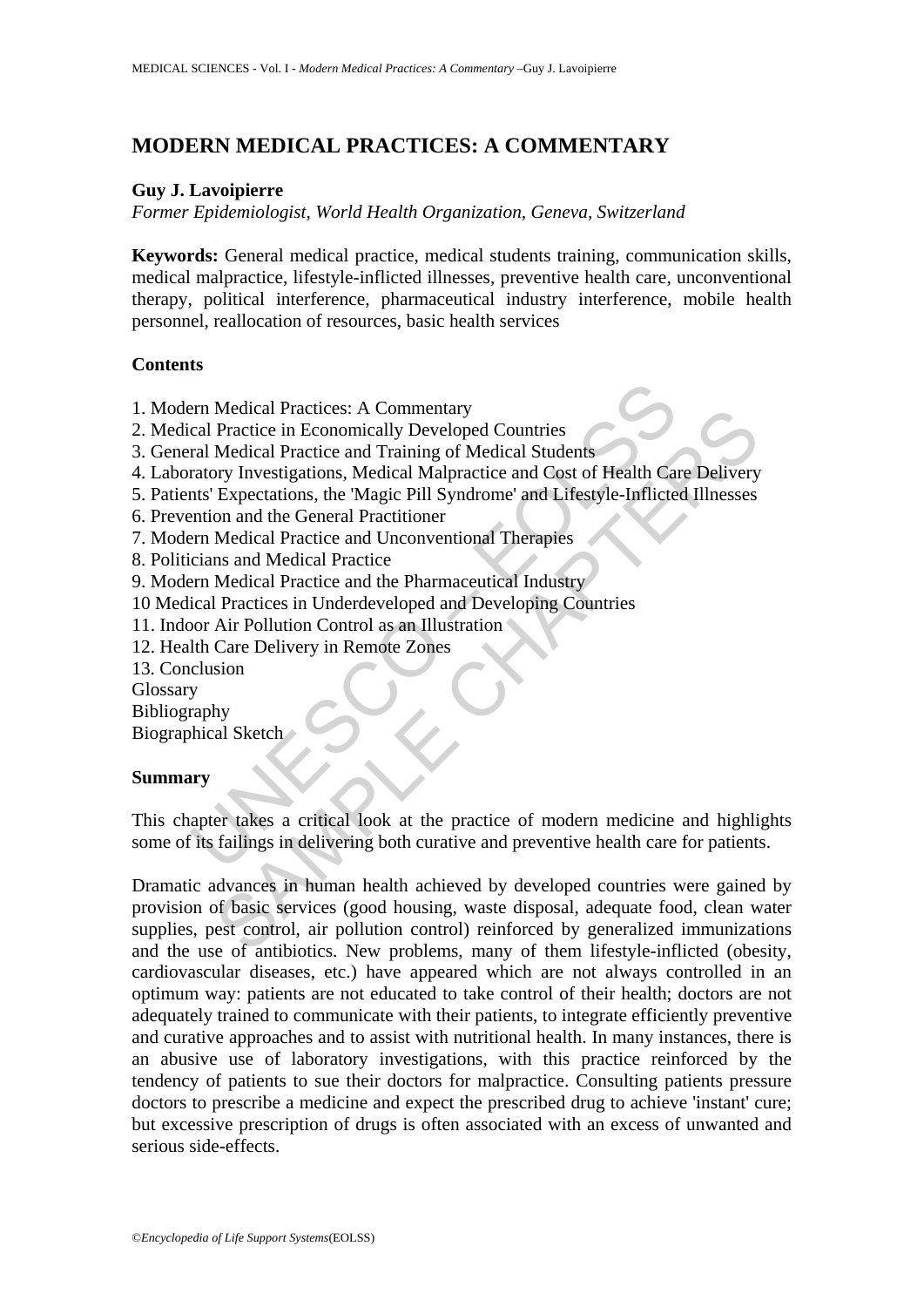# **MODERN MEDICAL PRACTICES: A COMMENTARY**

### **Guy J. Lavoipierre**

*Former Epidemiologist, World Health Organization, Geneva, Switzerland* 

**Keywords:** General medical practice, medical students training, communication skills, medical malpractice, lifestyle-inflicted illnesses, preventive health care, unconventional therapy, political interference, pharmaceutical industry interference, mobile health personnel, reallocation of resources, basic health services

#### **Contents**

- 1. Modern Medical Practices: A Commentary
- 2. Medical Practice in Economically Developed Countries
- 3. General Medical Practice and Training of Medical Students
- 4. Laboratory Investigations, Medical Malpractice and Cost of Health Care Delivery
- 5. Patients' Expectations, the 'Magic Pill Syndrome' and Lifestyle-Inflicted Illnesses
- 6. Prevention and the General Practitioner
- 7. Modern Medical Practice and Unconventional Therapies
- 8. Politicians and Medical Practice
- 9. Modern Medical Practice and the Pharmaceutical Industry
- 10 Medical Practices in Underdeveloped and Developing Countries
- 11. Indoor Air Pollution Control as an Illustration
- 12. Health Care Delivery in Remote Zones
- 13. Conclusion

Glossary

Bibliography

Biographical Sketch

#### **Summary**

Form Medical Practices: A Commentary<br>
cal Practice in Economically Developed Countries<br>
ral Medical Practice and Training of Medical Students<br>
ratory Investigations, Medical Malpractice and Cost of Health Can<br>
this' Expect This chapter takes a critical look at the practice of modern medicine and highlights some of its failings in delivering both curative and preventive health care for patients.

Medical Practices: A Commentary<br>
Practice in Economically Developed Countries<br>
Practice in Economically Developed Countries<br>
Medical Practice and Training of Medical Students<br>
orn and the General Practicioner<br>
And the Gene Dramatic advances in human health achieved by developed countries were gained by provision of basic services (good housing, waste disposal, adequate food, clean water supplies, pest control, air pollution control) reinforced by generalized immunizations and the use of antibiotics. New problems, many of them lifestyle-inflicted (obesity, cardiovascular diseases, etc.) have appeared which are not always controlled in an optimum way: patients are not educated to take control of their health; doctors are not adequately trained to communicate with their patients, to integrate efficiently preventive and curative approaches and to assist with nutritional health. In many instances, there is an abusive use of laboratory investigations, with this practice reinforced by the tendency of patients to sue their doctors for malpractice. Consulting patients pressure doctors to prescribe a medicine and expect the prescribed drug to achieve 'instant' cure; but excessive prescription of drugs is often associated with an excess of unwanted and serious side-effects.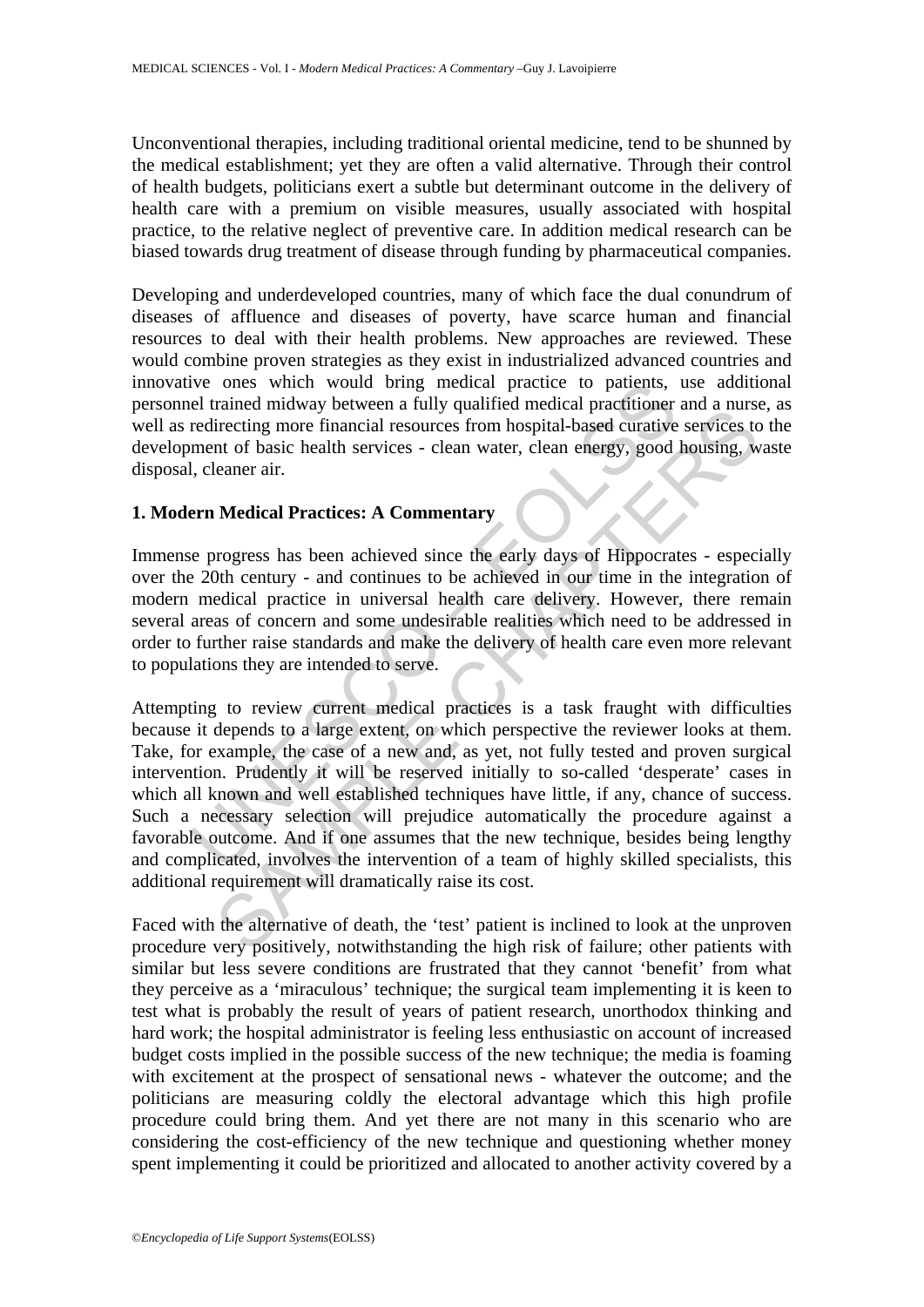Unconventional therapies, including traditional oriental medicine, tend to be shunned by the medical establishment; yet they are often a valid alternative. Through their control of health budgets, politicians exert a subtle but determinant outcome in the delivery of health care with a premium on visible measures, usually associated with hospital practice, to the relative neglect of preventive care. In addition medical research can be biased towards drug treatment of disease through funding by pharmaceutical companies.

Developing and underdeveloped countries, many of which face the dual conundrum of diseases of affluence and diseases of poverty, have scarce human and financial resources to deal with their health problems. New approaches are reviewed. These would combine proven strategies as they exist in industrialized advanced countries and innovative ones which would bring medical practice to patients, use additional personnel trained midway between a fully qualified medical practitioner and a nurse, as well as redirecting more financial resources from hospital-based curative services to the development of basic health services - clean water, clean energy, good housing, waste disposal, cleaner air.

### **1. Modern Medical Practices: A Commentary**

Immense progress has been achieved since the early days of Hippocrates - especially over the 20th century - and continues to be achieved in our time in the integration of modern medical practice in universal health care delivery. However, there remain several areas of concern and some undesirable realities which need to be addressed in order to further raise standards and make the delivery of health care even more relevant to populations they are intended to serve.

Ive ones which would bring medical practice to patients,<br>el trained midway between a fully qualified medical practitioner<br>redirecting more financial resources from hospital-based curative<br>ment of basic health services - cl and must between a rinny quantical methan practions and minst<br>irecting more financial resources from hospital-based curative services to<br>nt of basic health services - clean water, clean energy, good housing, w<br>leaner air.<br> Attempting to review current medical practices is a task fraught with difficulties because it depends to a large extent, on which perspective the reviewer looks at them. Take, for example, the case of a new and, as yet, not fully tested and proven surgical intervention. Prudently it will be reserved initially to so-called 'desperate' cases in which all known and well established techniques have little, if any, chance of success. Such a necessary selection will prejudice automatically the procedure against a favorable outcome. And if one assumes that the new technique, besides being lengthy and complicated, involves the intervention of a team of highly skilled specialists, this additional requirement will dramatically raise its cost.

Faced with the alternative of death, the 'test' patient is inclined to look at the unproven procedure very positively, notwithstanding the high risk of failure; other patients with similar but less severe conditions are frustrated that they cannot 'benefit' from what they perceive as a 'miraculous' technique; the surgical team implementing it is keen to test what is probably the result of years of patient research, unorthodox thinking and hard work; the hospital administrator is feeling less enthusiastic on account of increased budget costs implied in the possible success of the new technique; the media is foaming with excitement at the prospect of sensational news - whatever the outcome; and the politicians are measuring coldly the electoral advantage which this high profile procedure could bring them. And yet there are not many in this scenario who are considering the cost-efficiency of the new technique and questioning whether money spent implementing it could be prioritized and allocated to another activity covered by a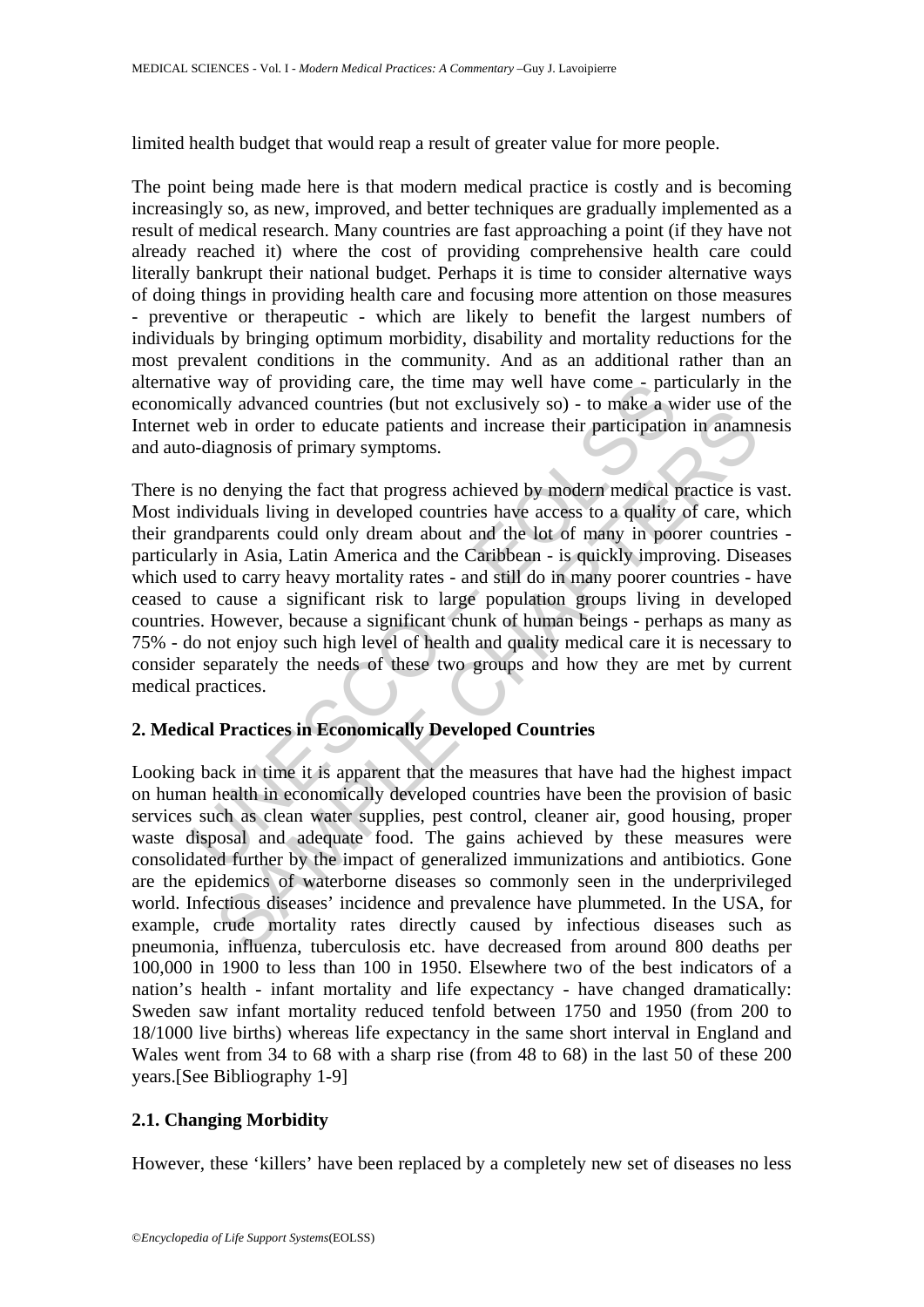limited health budget that would reap a result of greater value for more people.

The point being made here is that modern medical practice is costly and is becoming increasingly so, as new, improved, and better techniques are gradually implemented as a result of medical research. Many countries are fast approaching a point (if they have not already reached it) where the cost of providing comprehensive health care could literally bankrupt their national budget. Perhaps it is time to consider alternative ways of doing things in providing health care and focusing more attention on those measures - preventive or therapeutic - which are likely to benefit the largest numbers of individuals by bringing optimum morbidity, disability and mortality reductions for the most prevalent conditions in the community. And as an additional rather than an alternative way of providing care, the time may well have come - particularly in the economically advanced countries (but not exclusively so) - to make a wider use of the Internet web in order to educate patients and increase their participation in anamnesis and auto-diagnosis of primary symptoms.

Ive way of providing care, the time may well have come - partically advanced countries (but not exclusively so) - to make a web in order to educate patients and increase their participation --<br>diagnosis of primary symptoms by a ancient countries (out not exclusively soly - to make a what a since<br>the in order to educate patients and increase their participation in ananmiagnosis of primary symptoms.<br>
Menying the fact that progress achieved by There is no denying the fact that progress achieved by modern medical practice is vast. Most individuals living in developed countries have access to a quality of care, which their grandparents could only dream about and the lot of many in poorer countries particularly in Asia, Latin America and the Caribbean - is quickly improving. Diseases which used to carry heavy mortality rates - and still do in many poorer countries - have ceased to cause a significant risk to large population groups living in developed countries. However, because a significant chunk of human beings - perhaps as many as 75% - do not enjoy such high level of health and quality medical care it is necessary to consider separately the needs of these two groups and how they are met by current medical practices.

# **2. Medical Practices in Economically Developed Countries**

Looking back in time it is apparent that the measures that have had the highest impact on human health in economically developed countries have been the provision of basic services such as clean water supplies, pest control, cleaner air, good housing, proper waste disposal and adequate food. The gains achieved by these measures were consolidated further by the impact of generalized immunizations and antibiotics. Gone are the epidemics of waterborne diseases so commonly seen in the underprivileged world. Infectious diseases' incidence and prevalence have plummeted. In the USA, for example, crude mortality rates directly caused by infectious diseases such as pneumonia, influenza, tuberculosis etc. have decreased from around 800 deaths per 100,000 in 1900 to less than 100 in 1950. Elsewhere two of the best indicators of a nation's health - infant mortality and life expectancy - have changed dramatically: Sweden saw infant mortality reduced tenfold between 1750 and 1950 (from 200 to 18/1000 live births) whereas life expectancy in the same short interval in England and Wales went from 34 to 68 with a sharp rise (from 48 to 68) in the last 50 of these 200 years.[See Bibliography 1-9]

### **2.1. Changing Morbidity**

However, these 'killers' have been replaced by a completely new set of diseases no less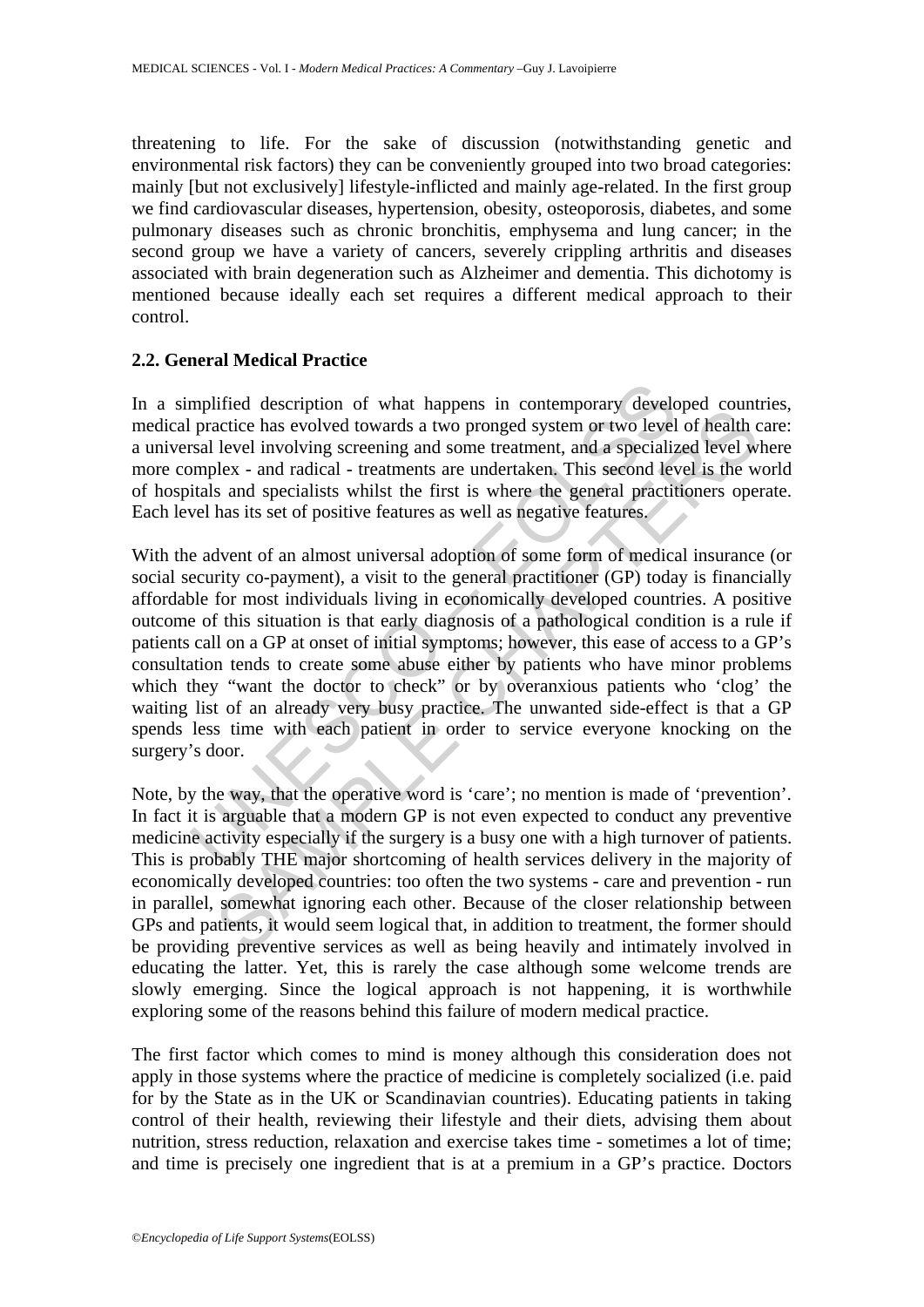threatening to life. For the sake of discussion (notwithstanding genetic and environmental risk factors) they can be conveniently grouped into two broad categories: mainly [but not exclusively] lifestyle-inflicted and mainly age-related. In the first group we find cardiovascular diseases, hypertension, obesity, osteoporosis, diabetes, and some pulmonary diseases such as chronic bronchitis, emphysema and lung cancer; in the second group we have a variety of cancers, severely crippling arthritis and diseases associated with brain degeneration such as Alzheimer and dementia. This dichotomy is mentioned because ideally each set requires a different medical approach to their control.

#### **2.2. General Medical Practice**

In a simplified description of what happens in contemporary developed countries, medical practice has evolved towards a two pronged system or two level of health care: a universal level involving screening and some treatment, and a specialized level where more complex - and radical - treatments are undertaken. This second level is the world of hospitals and specialists whilst the first is where the general practitioners operate. Each level has its set of positive features as well as negative features.

mplified description of what happens in contemporary developaratice has evolved towards a two pronged system or two level sizes and level involving screening and some treatment, and a specializy mplex - and radical - treat meand cascriptor of wind inapples in contemption of weight and the measure are calculated has evolved towards a two pronged system or two level of health level involving screening and some treatment, and a specialized lev With the advent of an almost universal adoption of some form of medical insurance (or social security co-payment), a visit to the general practitioner (GP) today is financially affordable for most individuals living in economically developed countries. A positive outcome of this situation is that early diagnosis of a pathological condition is a rule if patients call on a GP at onset of initial symptoms; however, this ease of access to a GP's consultation tends to create some abuse either by patients who have minor problems which they "want the doctor to check" or by overanxious patients who 'clog' the waiting list of an already very busy practice. The unwanted side-effect is that a GP spends less time with each patient in order to service everyone knocking on the surgery's door.

Note, by the way, that the operative word is 'care'; no mention is made of 'prevention'. In fact it is arguable that a modern GP is not even expected to conduct any preventive medicine activity especially if the surgery is a busy one with a high turnover of patients. This is probably THE major shortcoming of health services delivery in the majority of economically developed countries: too often the two systems - care and prevention - run in parallel, somewhat ignoring each other. Because of the closer relationship between GPs and patients, it would seem logical that, in addition to treatment, the former should be providing preventive services as well as being heavily and intimately involved in educating the latter. Yet, this is rarely the case although some welcome trends are slowly emerging. Since the logical approach is not happening, it is worthwhile exploring some of the reasons behind this failure of modern medical practice.

The first factor which comes to mind is money although this consideration does not apply in those systems where the practice of medicine is completely socialized (i.e. paid for by the State as in the UK or Scandinavian countries). Educating patients in taking control of their health, reviewing their lifestyle and their diets, advising them about nutrition, stress reduction, relaxation and exercise takes time - sometimes a lot of time; and time is precisely one ingredient that is at a premium in a GP's practice. Doctors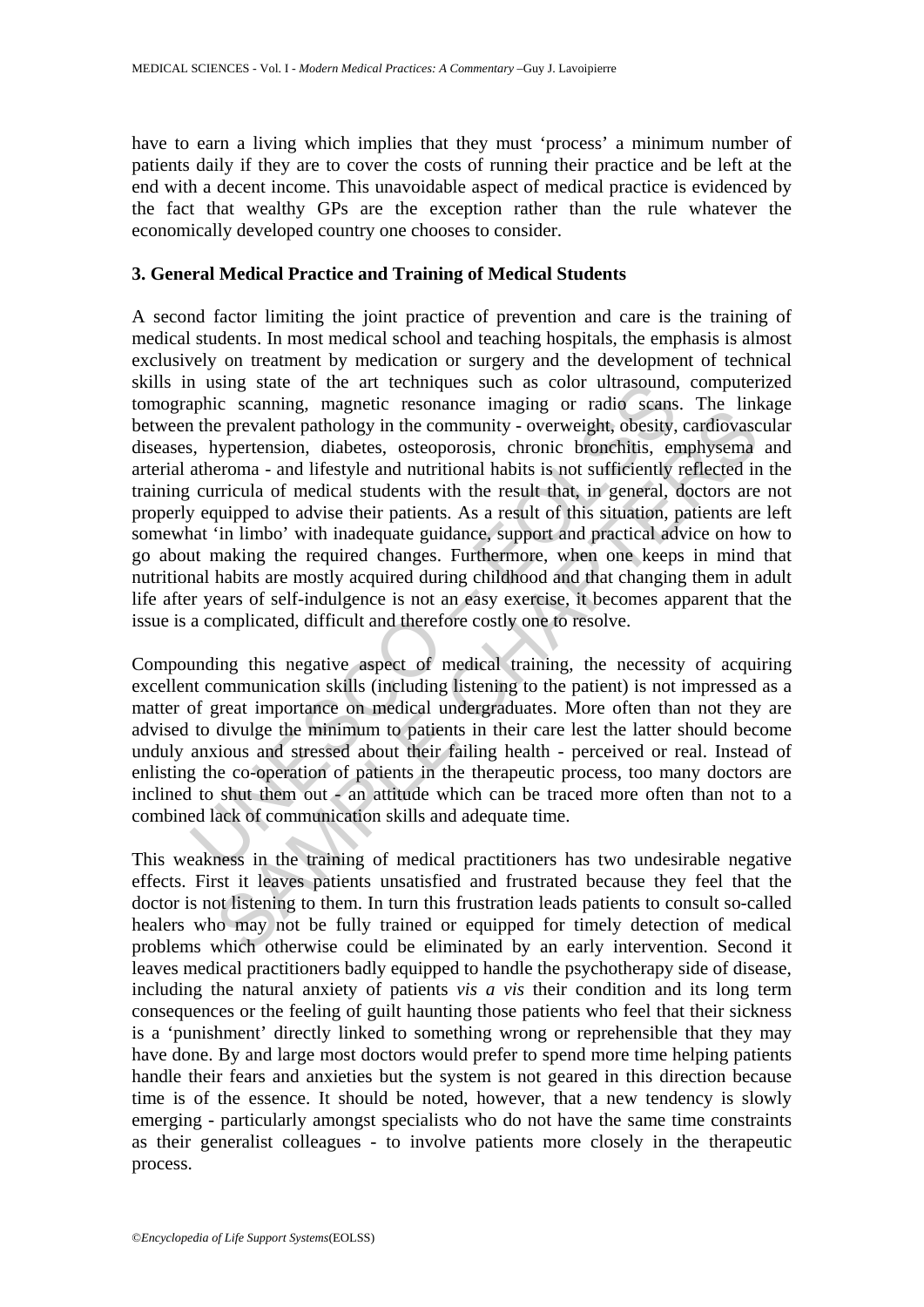have to earn a living which implies that they must 'process' a minimum number of patients daily if they are to cover the costs of running their practice and be left at the end with a decent income. This unavoidable aspect of medical practice is evidenced by the fact that wealthy GPs are the exception rather than the rule whatever the economically developed country one chooses to consider.

#### **3. General Medical Practice and Training of Medical Students**

In using state of the art techniques such as color ultrasound,<br>aphic scanning, magnetic resonance imaging or radio scans<br>in the prevalent pathology in the community - overveight, obesity,<br>i, hypertension, diabetes, osteopo Examing, inagence resonance magning of rancy and Samas. The minimal of the scanning of rancy and prevalent pathology in the community - overweight, obesity, cardioxas<br>sypertension, diabetes, osteoporosis, chronic bronchiti A second factor limiting the joint practice of prevention and care is the training of medical students. In most medical school and teaching hospitals, the emphasis is almost exclusively on treatment by medication or surgery and the development of technical skills in using state of the art techniques such as color ultrasound, computerized tomographic scanning, magnetic resonance imaging or radio scans. The linkage between the prevalent pathology in the community - overweight, obesity, cardiovascular diseases, hypertension, diabetes, osteoporosis, chronic bronchitis, emphysema and arterial atheroma - and lifestyle and nutritional habits is not sufficiently reflected in the training curricula of medical students with the result that, in general, doctors are not properly equipped to advise their patients. As a result of this situation, patients are left somewhat 'in limbo' with inadequate guidance, support and practical advice on how to go about making the required changes. Furthermore, when one keeps in mind that nutritional habits are mostly acquired during childhood and that changing them in adult life after years of self-indulgence is not an easy exercise, it becomes apparent that the issue is a complicated, difficult and therefore costly one to resolve.

Compounding this negative aspect of medical training, the necessity of acquiring excellent communication skills (including listening to the patient) is not impressed as a matter of great importance on medical undergraduates. More often than not they are advised to divulge the minimum to patients in their care lest the latter should become unduly anxious and stressed about their failing health - perceived or real. Instead of enlisting the co-operation of patients in the therapeutic process, too many doctors are inclined to shut them out - an attitude which can be traced more often than not to a combined lack of communication skills and adequate time.

This weakness in the training of medical practitioners has two undesirable negative effects. First it leaves patients unsatisfied and frustrated because they feel that the doctor is not listening to them. In turn this frustration leads patients to consult so-called healers who may not be fully trained or equipped for timely detection of medical problems which otherwise could be eliminated by an early intervention. Second it leaves medical practitioners badly equipped to handle the psychotherapy side of disease, including the natural anxiety of patients *vis a vis* their condition and its long term consequences or the feeling of guilt haunting those patients who feel that their sickness is a 'punishment' directly linked to something wrong or reprehensible that they may have done. By and large most doctors would prefer to spend more time helping patients handle their fears and anxieties but the system is not geared in this direction because time is of the essence. It should be noted, however, that a new tendency is slowly emerging - particularly amongst specialists who do not have the same time constraints as their generalist colleagues - to involve patients more closely in the therapeutic process.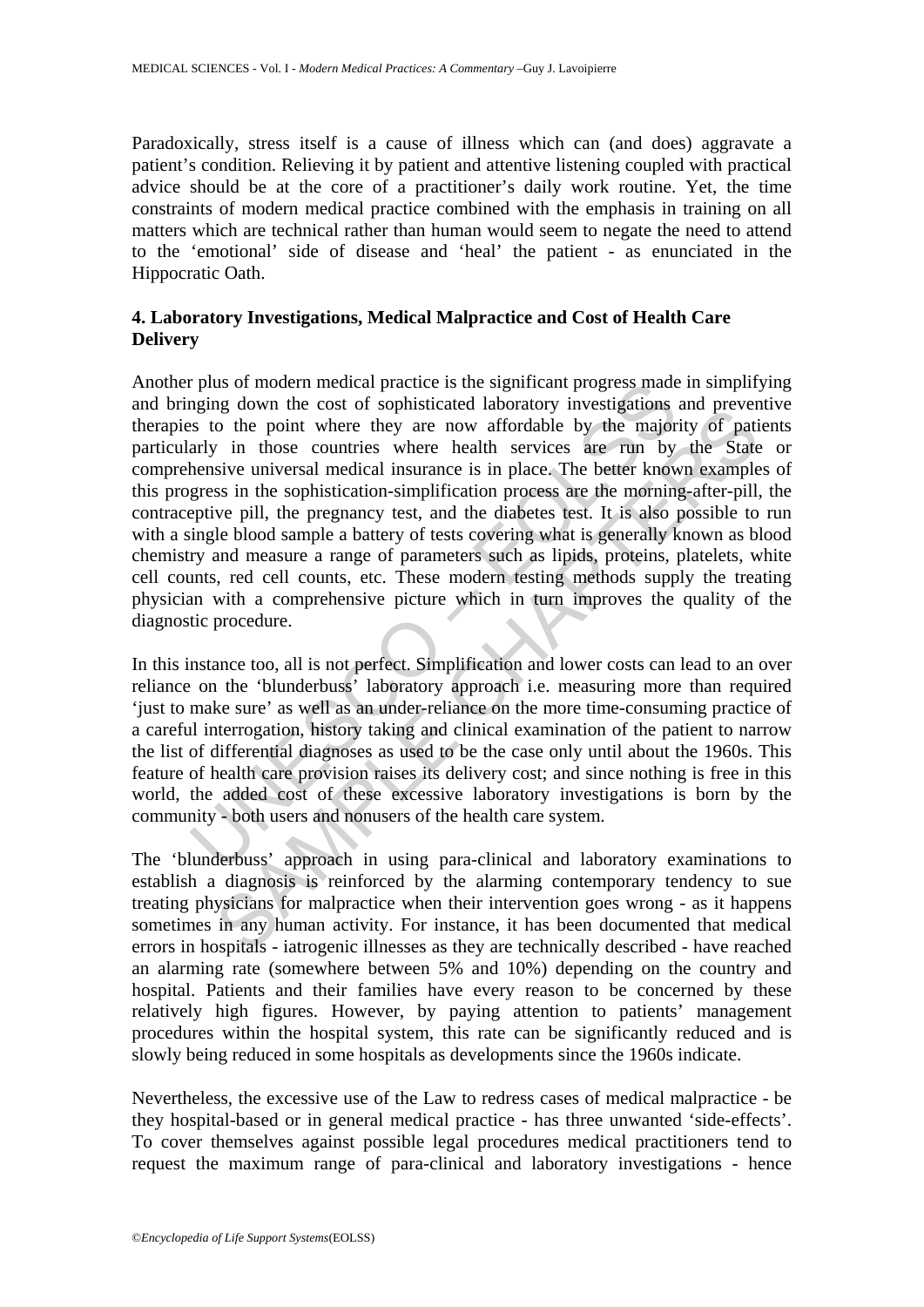Paradoxically, stress itself is a cause of illness which can (and does) aggravate a patient's condition. Relieving it by patient and attentive listening coupled with practical advice should be at the core of a practitioner's daily work routine. Yet, the time constraints of modern medical practice combined with the emphasis in training on all matters which are technical rather than human would seem to negate the need to attend to the 'emotional' side of disease and 'heal' the patient - as enunciated in the Hippocratic Oath.

# **4. Laboratory Investigations, Medical Malpractice and Cost of Health Care Delivery**

relation produces are significantly progress made as the significant progress made as to the point the cost of sophisticated laboratory investigations as to the point where they are now affordable by the major andy hensive ing down interests of sopinalized and othany investigations and pevent<br>of the point where they are now affordable by the majority of pati<br>v in those countries where health services are run by the State<br>sive universal medic Another plus of modern medical practice is the significant progress made in simplifying and bringing down the cost of sophisticated laboratory investigations and preventive therapies to the point where they are now affordable by the majority of patients particularly in those countries where health services are run by the State or comprehensive universal medical insurance is in place. The better known examples of this progress in the sophistication-simplification process are the morning-after-pill, the contraceptive pill, the pregnancy test, and the diabetes test. It is also possible to run with a single blood sample a battery of tests covering what is generally known as blood chemistry and measure a range of parameters such as lipids, proteins, platelets, white cell counts, red cell counts, etc. These modern testing methods supply the treating physician with a comprehensive picture which in turn improves the quality of the diagnostic procedure.

In this instance too, all is not perfect. Simplification and lower costs can lead to an over reliance on the 'blunderbuss' laboratory approach i.e. measuring more than required 'just to make sure' as well as an under-reliance on the more time-consuming practice of a careful interrogation, history taking and clinical examination of the patient to narrow the list of differential diagnoses as used to be the case only until about the 1960s. This feature of health care provision raises its delivery cost; and since nothing is free in this world, the added cost of these excessive laboratory investigations is born by the community - both users and nonusers of the health care system.

The 'blunderbuss' approach in using para-clinical and laboratory examinations to establish a diagnosis is reinforced by the alarming contemporary tendency to sue treating physicians for malpractice when their intervention goes wrong - as it happens sometimes in any human activity. For instance, it has been documented that medical errors in hospitals - iatrogenic illnesses as they are technically described - have reached an alarming rate (somewhere between 5% and 10%) depending on the country and hospital. Patients and their families have every reason to be concerned by these relatively high figures. However, by paying attention to patients' management procedures within the hospital system, this rate can be significantly reduced and is slowly being reduced in some hospitals as developments since the 1960s indicate.

Nevertheless, the excessive use of the Law to redress cases of medical malpractice - be they hospital-based or in general medical practice - has three unwanted 'side-effects'. To cover themselves against possible legal procedures medical practitioners tend to request the maximum range of para-clinical and laboratory investigations - hence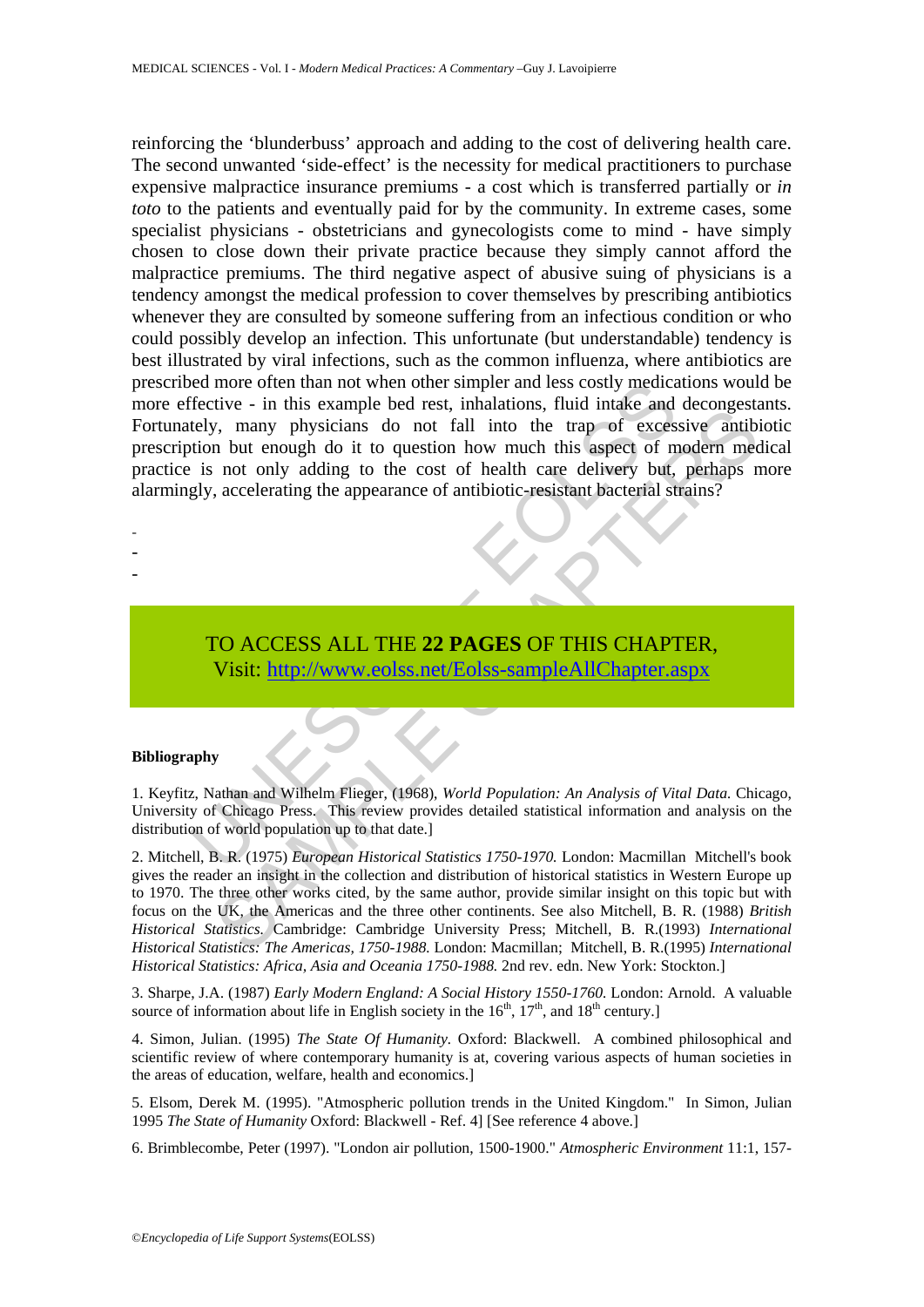ed more otten than not when other simpler and less costly medical<br>fective - in this example bed rest, inhalations, fluid initate and<br>tely, many physicians do not fall into the trap of excession<br>but enough do it to question reinforcing the 'blunderbuss' approach and adding to the cost of delivering health care. The second unwanted 'side-effect' is the necessity for medical practitioners to purchase expensive malpractice insurance premiums - a cost which is transferred partially or *in toto* to the patients and eventually paid for by the community. In extreme cases, some specialist physicians - obstetricians and gynecologists come to mind - have simply chosen to close down their private practice because they simply cannot afford the malpractice premiums. The third negative aspect of abusive suing of physicians is a tendency amongst the medical profession to cover themselves by prescribing antibiotics whenever they are consulted by someone suffering from an infectious condition or who could possibly develop an infection. This unfortunate (but understandable) tendency is best illustrated by viral infections, such as the common influenza, where antibiotics are prescribed more often than not when other simpler and less costly medications would be more effective - in this example bed rest, inhalations, fluid intake and decongestants. Fortunately, many physicians do not fall into the trap of excessive antibiotic prescription but enough do it to question how much this aspect of modern medical practice is not only adding to the cost of health care delivery but, perhaps more alarmingly, accelerating the appearance of antibiotic-resistant bacterial strains?

- -
- -
- -
- TO ACCESS ALL THE **22 PAGES** OF THIS CHAPTER, Visit: http://www.eolss.net/Eolss-sampleAllChapter.aspx

#### **Bibliography**

1. Keyfitz, Nathan and Wilhelm Flieger, (1968), *World Population: An Analysis of Vital Data.* Chicago, University of Chicago Press. This review provides detailed statistical information and analysis on the distribution of world population up to that date.]

Ever- in this change focat is, immatations, risin that and actomysis and the trap of excessive antibioned and that the most of the control of the cost of modern met not only adding to the cost of health care delivery but, 2. Mitchell, B. R. (1975) *European Historical Statistics 1750-1970.* London: Macmillan Mitchell's book gives the reader an insight in the collection and distribution of historical statistics in Western Europe up to 1970. The three other works cited, by the same author, provide similar insight on this topic but with focus on the UK, the Americas and the three other continents. See also Mitchell, B. R. (1988) *British Historical Statistics.* Cambridge: Cambridge University Press; Mitchell, B. R.(1993) *International Historical Statistics: The Americas, 1750-1988.* London: Macmillan; Mitchell, B. R.(1995) *International Historical Statistics: Africa, Asia and Oceania 1750-1988.* 2nd rev. edn. New York: Stockton.]

3. Sharpe, J.A. (1987) *Early Modern England: A Social History 1550-1760.* London: Arnold. A valuable source of information about life in English society in the  $16<sup>th</sup>$ ,  $17<sup>th</sup>$ , and  $18<sup>th</sup>$  century.]

4. Simon, Julian. (1995) *The State Of Humanity.* Oxford: Blackwell. A combined philosophical and scientific review of where contemporary humanity is at, covering various aspects of human societies in the areas of education, welfare, health and economics.]

5. Elsom, Derek M. (1995). "Atmospheric pollution trends in the United Kingdom." In Simon, Julian 1995 *The State of Humanity* Oxford: Blackwell - Ref. 4] [See reference 4 above.]

6. Brimblecombe, Peter (1997). "London air pollution, 1500-1900." *Atmospheric Environment* 11:1, 157-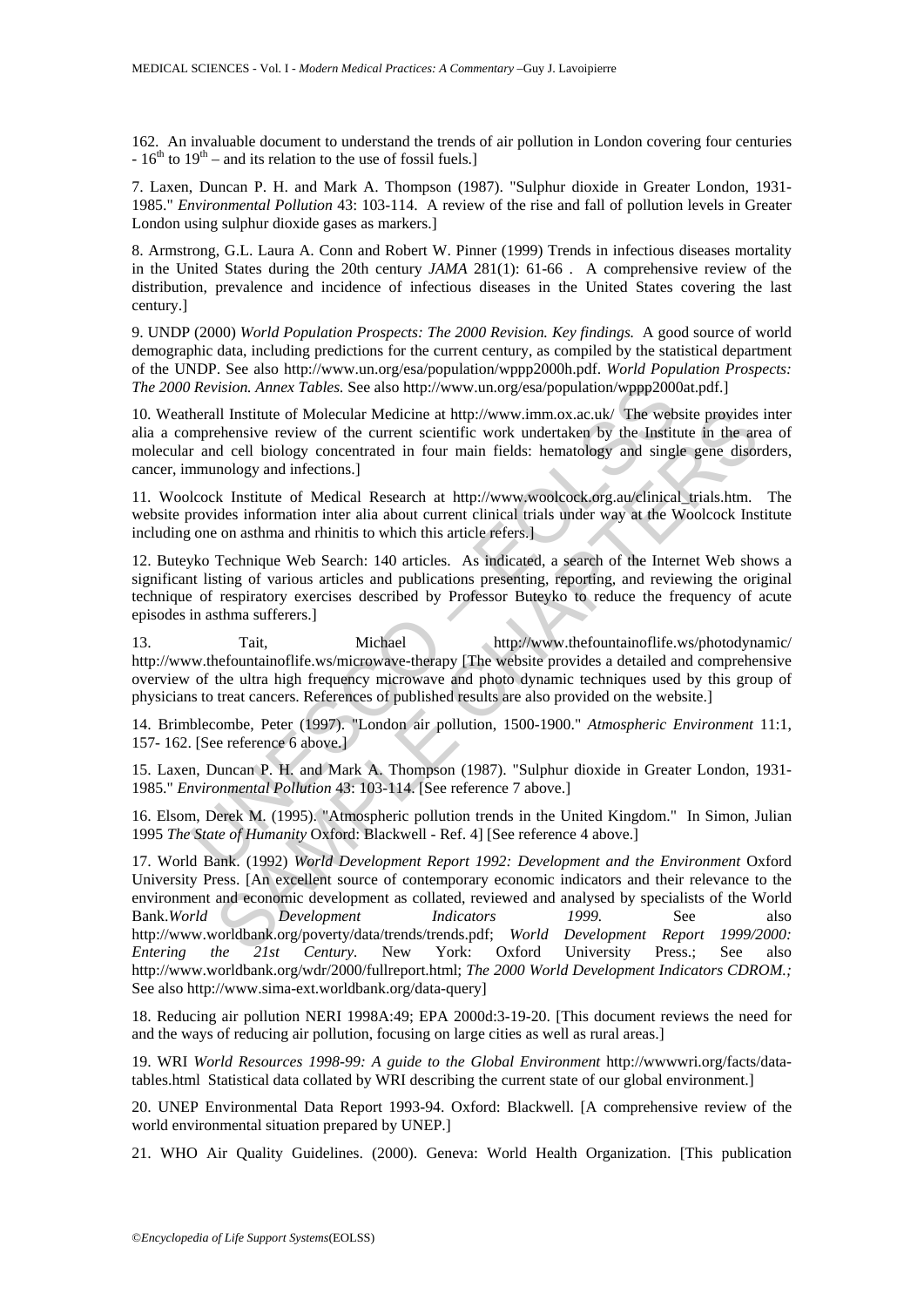162. An invaluable document to understand the trends of air pollution in London covering four centuries  $-16^{th}$  to  $19^{th}$  – and its relation to the use of fossil fuels.]

7. Laxen, Duncan P. H. and Mark A. Thompson (1987). "Sulphur dioxide in Greater London, 1931- 1985." *Environmental Pollution* 43: 103-114. A review of the rise and fall of pollution levels in Greater London using sulphur dioxide gases as markers.]

8. Armstrong, G.L. Laura A. Conn and Robert W. Pinner (1999) Trends in infectious diseases mortality in the United States during the 20th century *JAMA* 281(1): 61-66 . A comprehensive review of the distribution, prevalence and incidence of infectious diseases in the United States covering the last century.]

9. UNDP (2000) *World Population Prospects: The 2000 Revision. Key findings.* A good source of world demographic data, including predictions for the current century, as compiled by the statistical department of the UNDP. See also http://www.un.org/esa/population/wppp2000h.pdf. *World Population Prospects: The 2000 Revision. Annex Tables.* See also http://www.un.org/esa/population/wppp2000at.pdf.]

10. Weatherall Institute of Molecular Medicine at http://www.imm.ox.ac.uk/ The website provides inter alia a comprehensive review of the current scientific work undertaken by the Institute in the area of molecular and cell biology concentrated in four main fields: hematology and single gene disorders, cancer, immunology and infections.]

11. Woolcock Institute of Medical Research at http://www.woolcock.org.au/clinical\_trials.htm. The website provides information inter alia about current clinical trials under way at the Woolcock Institute including one on asthma and rhinitis to which this article refers.]

12. Buteyko Technique Web Search: 140 articles. As indicated, a search of the Internet Web shows a significant listing of various articles and publications presenting, reporting, and reviewing the original technique of respiratory exercises described by Professor Buteyko to reduce the frequency of acute episodes in asthma sufferers.]

Revision. Annex Tables. See also http://www.un.org/esa/population/wppp2000<br>herall Institute of Molecular Medicine at http://www.imm.ox.ac.uk/ The web<br>mprehensive review of the current scientific work undertaken by the Inst 13. Tait, Michael http://www.thefountainoflife.ws/photodynamic/ http://www.thefountainoflife.ws/microwave-therapy [The website provides a detailed and comprehensive overview of the ultra high frequency microwave and photo dynamic techniques used by this group of physicians to treat cancers. References of published results are also provided on the website.]

14. Brimblecombe, Peter (1997). "London air pollution, 1500-1900." *Atmospheric Environment* 11:1, 157- 162. [See reference 6 above.]

15. Laxen, Duncan P. H. and Mark A. Thompson (1987). "Sulphur dioxide in Greater London, 1931- 1985." *Environmental Pollution* 43: 103-114. [See reference 7 above.]

16. Elsom, Derek M. (1995). "Atmospheric pollution trends in the United Kingdom." In Simon, Julian 1995 *The State of Humanity* Oxford: Blackwell - Ref. 4] [See reference 4 above.]

Il Institute of Molecular Medicine at http://www.imm.ox.ac.uk/ The website provides<br>
ehensive review of the current scientific work udertaken by the Institute in the are<br>
decli biology concentrated in four main fields: hem 17. World Bank. (1992) *World Development Report 1992: Development and the Environment* Oxford University Press. [An excellent source of contemporary economic indicators and their relevance to the environment and economic development as collated, reviewed and analysed by specialists of the World Bank.*World Development Indicators 1999.* See also http://www.worldbank.org/poverty/data/trends/trends.pdf; *World Development Report 1999/2000: Entering the 21st Century.* New York: Oxford University Press.; See also http://www.worldbank.org/wdr/2000/fullreport.html; *The 2000 World Development Indicators CDROM.;*  See also http://www.sima-ext.worldbank.org/data-query]

18. Reducing air pollution NERI 1998A:49; EPA 2000d:3-19-20. [This document reviews the need for and the ways of reducing air pollution, focusing on large cities as well as rural areas.]

19. WRI *World Resources 1998-99: A guide to the Global Environment* http://wwwwri.org/facts/datatables.html Statistical data collated by WRI describing the current state of our global environment.]

20. UNEP Environmental Data Report 1993-94. Oxford: Blackwell. [A comprehensive review of the world environmental situation prepared by UNEP.]

21. WHO Air Quality Guidelines. (2000). Geneva: World Health Organization. [This publication